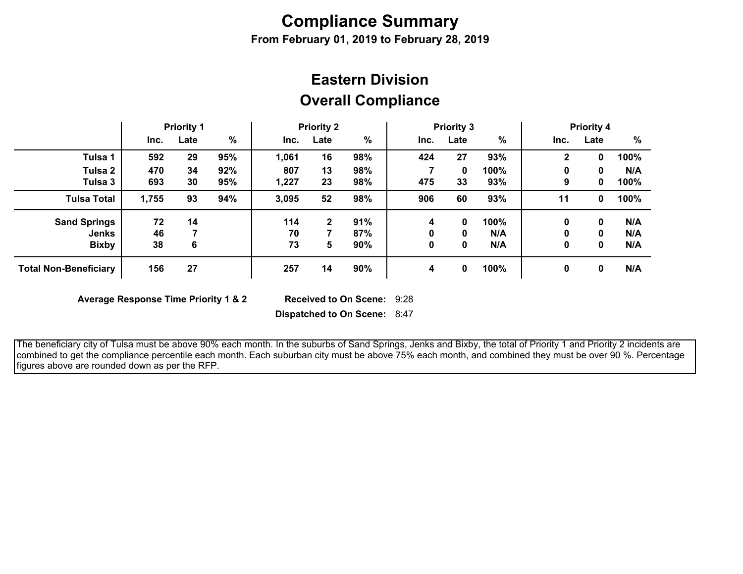# **Compliance Summary**

**From February 01, 2019 to February 28, 2019**

## **Overall Compliance Eastern Division**

|                              | <b>Priority 1</b> |      | <b>Priority 2</b> |       | <b>Priority 3</b> |     |      |      | <b>Priority 4</b> |              |      |      |
|------------------------------|-------------------|------|-------------------|-------|-------------------|-----|------|------|-------------------|--------------|------|------|
|                              | Inc.              | Late | $\%$              | Inc.  | Late              | %   | Inc. | Late | $\%$              | Inc.         | Late | $\%$ |
| Tulsa 1                      | 592               | 29   | 95%               | 1,061 | 16                | 98% | 424  | 27   | 93%               | $\mathbf{2}$ | 0    | 100% |
| Tulsa 2                      | 470               | 34   | 92%               | 807   | 13                | 98% |      | 0    | 100%              | 0            | 0    | N/A  |
| Tulsa 3                      | 693               | 30   | 95%               | 1,227 | 23                | 98% | 475  | 33   | 93%               | 9            | 0    | 100% |
| <b>Tulsa Total</b>           | 1,755             | 93   | 94%               | 3,095 | 52                | 98% | 906  | 60   | 93%               | 11           | 0    | 100% |
| <b>Sand Springs</b>          | 72                | 14   |                   | 114   | $\mathbf{2}$      | 91% | 4    | 0    | 100%              | 0            | 0    | N/A  |
| <b>Jenks</b>                 | 46                |      |                   | 70    |                   | 87% | 0    | 0    | N/A               | 0            | 0    | N/A  |
| <b>Bixby</b>                 | 38                | 6    |                   | 73    | 5                 | 90% | 0    | 0    | N/A               | 0            | 0    | N/A  |
| <b>Total Non-Beneficiary</b> | 156               | 27   |                   | 257   | 14                | 90% | 4    | 0    | 100%              | 0            | 0    | N/A  |

**Average Response Time Priority 1 & 2** 

Received to On Scene: 9:28

**Dispatched to On Scene:** 8:47

 The beneficiary city of Tulsa must be above 90% each month. In the suburbs of Sand Springs, Jenks and Bixby, the total of Priority 1 and Priority 2 incidents are combined to get the compliance percentile each month. Each suburban city must be above 75% each month, and combined they must be over 90 %. Percentage figures above are rounded down as per the RFP.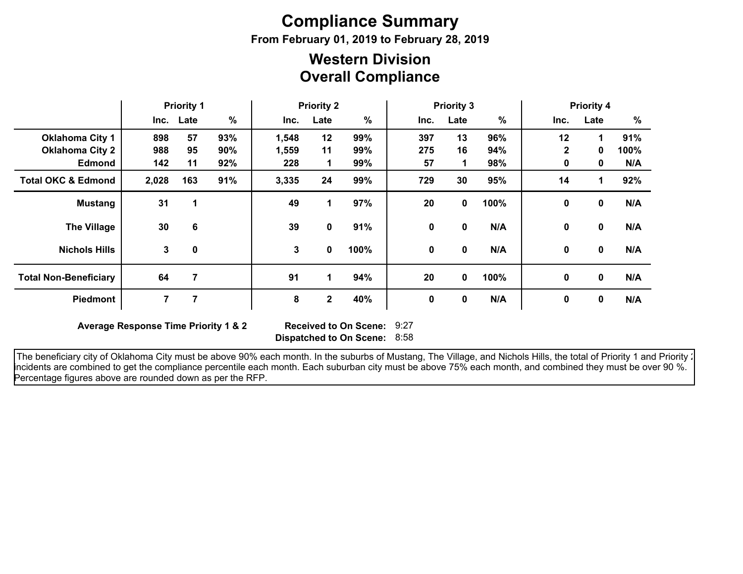# **Compliance Summary**

**From February 01, 2019 to February 28, 2019**

### **Overall Compliance Western Division**

|                               | <b>Priority 1</b> |           | <b>Priority 2</b> |              | <b>Priority 3</b> |      |      |              | <b>Priority 4</b> |              |                      |      |
|-------------------------------|-------------------|-----------|-------------------|--------------|-------------------|------|------|--------------|-------------------|--------------|----------------------|------|
|                               |                   | Inc. Late | $\%$              | Inc.         | Late              | $\%$ | Inc. | Late         | %                 | Inc.         | Late                 | $\%$ |
| <b>Oklahoma City 1</b>        | 898               | 57        | 93%               | 1,548        | 12                | 99%  | 397  | 13           | 96%               | 12           | $\blacktriangleleft$ | 91%  |
| <b>Oklahoma City 2</b>        | 988               | 95        | 90%               | 1,559        | 11                | 99%  | 275  | 16           | 94%               | $\mathbf{2}$ | 0                    | 100% |
| <b>Edmond</b>                 | 142               | 11        | 92%               | 228          | 1                 | 99%  | 57   | 1            | 98%               | 0            | 0                    | N/A  |
| <b>Total OKC &amp; Edmond</b> | 2,028             | 163       | 91%               | 3,335        | 24                | 99%  | 729  | 30           | 95%               | 14           | $\mathbf{1}$         | 92%  |
| <b>Mustang</b>                | 31                |           |                   | 49           | 1                 | 97%  | 20   | $\mathbf{0}$ | 100%              | $\mathbf 0$  | $\mathbf 0$          | N/A  |
| <b>The Village</b>            | 30                | 6         |                   | 39           | 0                 | 91%  | 0    | 0            | N/A               | $\mathbf 0$  | 0                    | N/A  |
| <b>Nichols Hills</b>          | 3                 | 0         |                   | $\mathbf{3}$ | 0                 | 100% | 0    | 0            | N/A               | 0            | 0                    | N/A  |
| <b>Total Non-Beneficiary</b>  | 64                | 7         |                   | 91           | 1                 | 94%  | 20   | 0            | 100%              | 0            | $\mathbf 0$          | N/A  |
| <b>Piedmont</b>               |                   |           |                   | 8            | 2                 | 40%  | 0    | 0            | N/A               | 0            | 0                    | N/A  |

**Average Response Time Priority 1 & 2** 

**Dispatched to On Scene:** 8:58 Received to On Scene: 9:27

The beneficiary city of Oklahoma City must be above 90% each month. In the suburbs of Mustang, The Village, and Nichols Hills, the total of Priority 1 and Priority : incidents are combined to get the compliance percentile each month. Each suburban city must be above 75% each month, and combined they must be over 90 %. Percentage figures above are rounded down as per the RFP.